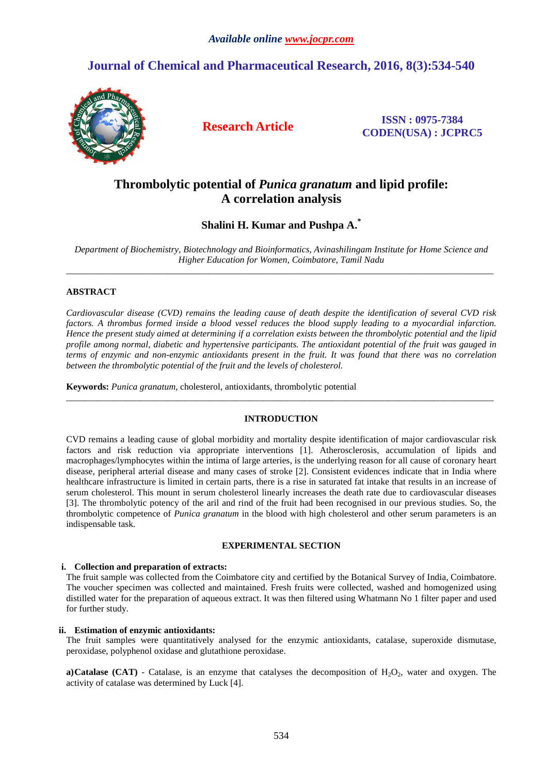# **Journal of Chemical and Pharmaceutical Research, 2016, 8(3):534-540**



**Research Article ISSN : 0975-7384 CODEN(USA) : JCPRC5**

# **Thrombolytic potential of** *Punica granatum* **and lipid profile: A correlation analysis**

**Shalini H. Kumar and Pushpa A.\*** 

*Department of Biochemistry, Biotechnology and Bioinformatics, Avinashilingam Institute for Home Science and Higher Education for Women, Coimbatore, Tamil Nadu*   $\overline{a}$  , and the contribution of the contribution of the contribution of the contribution of the contribution of the contribution of the contribution of the contribution of the contribution of the contribution of the co

## **ABSTRACT**

*Cardiovascular disease (CVD) remains the leading cause of death despite the identification of several CVD risk factors. A thrombus formed inside a blood vessel reduces the blood supply leading to a myocardial infarction. Hence the present study aimed at determining if a correlation exists between the thrombolytic potential and the lipid profile among normal, diabetic and hypertensive participants. The antioxidant potential of the fruit was gauged in terms of enzymic and non-enzymic antioxidants present in the fruit. It was found that there was no correlation between the thrombolytic potential of the fruit and the levels of cholesterol.* 

**Keywords:** *Punica granatum*, cholesterol, antioxidants, thrombolytic potential

## **INTRODUCTION**

 $\overline{a}$  , and the contribution of the contribution of the contribution of the contribution of the contribution of the contribution of the contribution of the contribution of the contribution of the contribution of the co

CVD remains a leading cause of global morbidity and mortality despite identification of major cardiovascular risk factors and risk reduction via appropriate interventions [1]. Atherosclerosis, accumulation of lipids and macrophages/lymphocytes within the intima of large arteries, is the underlying reason for all cause of coronary heart disease, peripheral arterial disease and many cases of stroke [2]. Consistent evidences indicate that in India where healthcare infrastructure is limited in certain parts, there is a rise in saturated fat intake that results in an increase of serum cholesterol. This mount in serum cholesterol linearly increases the death rate due to cardiovascular diseases [3]. The thrombolytic potency of the aril and rind of the fruit had been recognised in our previous studies. So, the thrombolytic competence of *Punica granatum* in the blood with high cholesterol and other serum parameters is an indispensable task.

## **EXPERIMENTAL SECTION**

## **i. Collection and preparation of extracts:**

The fruit sample was collected from the Coimbatore city and certified by the Botanical Survey of India, Coimbatore. The voucher specimen was collected and maintained. Fresh fruits were collected, washed and homogenized using distilled water for the preparation of aqueous extract. It was then filtered using Whatmann No 1 filter paper and used for further study.

### **ii. Estimation of enzymic antioxidants:**

The fruit samples were quantitatively analysed for the enzymic antioxidants, catalase, superoxide dismutase, peroxidase, polyphenol oxidase and glutathione peroxidase.

**a)Catalase (CAT)** - Catalase, is an enzyme that catalyses the decomposition of  $H_2O_2$ , water and oxygen. The activity of catalase was determined by Luck [4].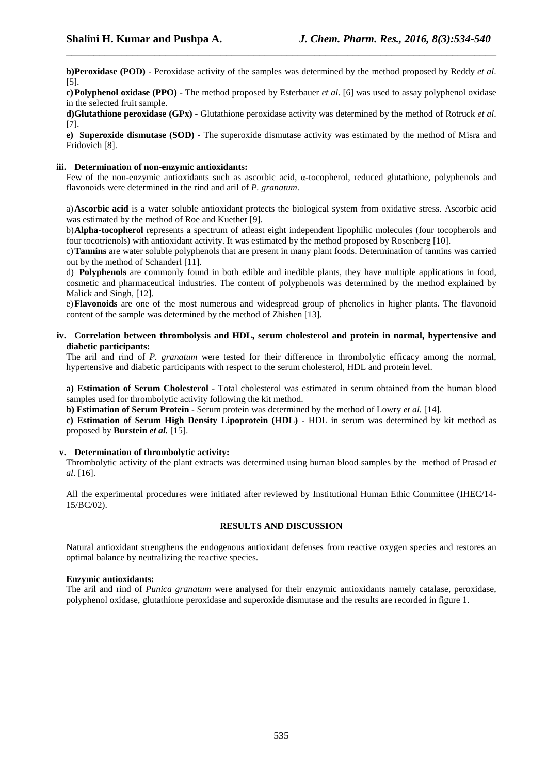**b)Peroxidase (POD)** - Peroxidase activity of the samples was determined by the method proposed by Reddy *et al*. [5].

\_\_\_\_\_\_\_\_\_\_\_\_\_\_\_\_\_\_\_\_\_\_\_\_\_\_\_\_\_\_\_\_\_\_\_\_\_\_\_\_\_\_\_\_\_\_\_\_\_\_\_\_\_\_\_\_\_\_\_\_\_\_\_\_\_\_\_\_\_\_\_\_\_\_\_\_\_\_

**c)Polyphenol oxidase (PPO) -** The method proposed by Esterbauer *et al*. [6] was used to assay polyphenol oxidase in the selected fruit sample.

**d)Glutathione peroxidase (GPx) -** Glutathione peroxidase activity was determined by the method of Rotruck *et al*. [7].

**e) Superoxide dismutase (SOD) -** The superoxide dismutase activity was estimated by the method of Misra and Fridovich [8].

#### **iii. Determination of non-enzymic antioxidants:**

Few of the non-enzymic antioxidants such as ascorbic acid, α-tocopherol, reduced glutathione, polyphenols and flavonoids were determined in the rind and aril of *P. granatum*.

a)**Ascorbic acid** is a water soluble antioxidant protects the biological system from oxidative stress. Ascorbic acid was estimated by the method of Roe and Kuether [9].

b)**Alpha-tocopherol** represents a spectrum of atleast eight independent lipophilic molecules (four tocopherols and four tocotrienols) with antioxidant activity. It was estimated by the method proposed by Rosenberg [10].

c)**Tannins** are water soluble polyphenols that are present in many plant foods. Determination of tannins was carried out by the method of Schanderl [11].

d) **Polyphenols** are commonly found in both edible and inedible plants, they have multiple applications in food, cosmetic and pharmaceutical industries. The content of polyphenols was determined by the method explained by Malick and Singh, [12].

e)**Flavonoids** are one of the most numerous and widespread group of phenolics in higher plants. The flavonoid content of the sample was determined by the method of Zhishen [13].

**iv. Correlation between thrombolysis and HDL, serum cholesterol and protein in normal, hypertensive and diabetic participants:** 

The aril and rind of *P. granatum* were tested for their difference in thrombolytic efficacy among the normal, hypertensive and diabetic participants with respect to the serum cholesterol, HDL and protein level.

**a) Estimation of Serum Cholesterol -** Total cholesterol was estimated in serum obtained from the human blood samples used for thrombolytic activity following the kit method.

**b) Estimation of Serum Protein -** Serum protein was determined by the method of Lowry *et al.* [14].

**c) Estimation of Serum High Density Lipoprotein (HDL) -** HDL in serum was determined by kit method as proposed by **Burstein** *et al.* [15].

#### **v. Determination of thrombolytic activity:**

Thrombolytic activity of the plant extracts was determined using human blood samples by the method of Prasad *et al*. [16].

All the experimental procedures were initiated after reviewed by Institutional Human Ethic Committee (IHEC/14- 15/BC/02).

#### **RESULTS AND DISCUSSION**

Natural antioxidant strengthens the endogenous antioxidant defenses from reactive oxygen species and restores an optimal balance by neutralizing the reactive species.

#### **Enzymic antioxidants:**

The aril and rind of *Punica granatum* were analysed for their enzymic antioxidants namely catalase, peroxidase, polyphenol oxidase, glutathione peroxidase and superoxide dismutase and the results are recorded in figure 1.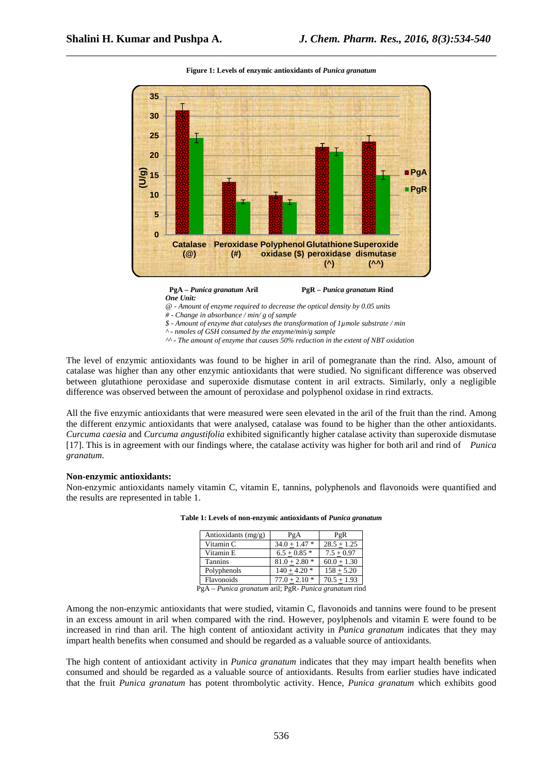

**Figure 1: Levels of enzymic antioxidants of** *Punica granatum* 

\_\_\_\_\_\_\_\_\_\_\_\_\_\_\_\_\_\_\_\_\_\_\_\_\_\_\_\_\_\_\_\_\_\_\_\_\_\_\_\_\_\_\_\_\_\_\_\_\_\_\_\_\_\_\_\_\_\_\_\_\_\_\_\_\_\_\_\_\_\_\_\_\_\_\_\_\_\_



*@ - Amount of enzyme required to decrease the optical density by 0.05 units* 

*# - Change in absorbance / min/ g of sample* 

*\$ - Amount of enzyme that catalyses the transformation of 1µmole substrate / min*

*^ - nmoles of GSH consumed by the enzyme/min/g sample* 

*^^ - The amount of enzyme that causes 50% reduction in the extent of NBT oxidation* 

The level of enzymic antioxidants was found to be higher in aril of pomegranate than the rind. Also, amount of catalase was higher than any other enzymic antioxidants that were studied. No significant difference was observed between glutathione peroxidase and superoxide dismutase content in aril extracts. Similarly, only a negligible difference was observed between the amount of peroxidase and polyphenol oxidase in rind extracts.

All the five enzymic antioxidants that were measured were seen elevated in the aril of the fruit than the rind. Among the different enzymic antioxidants that were analysed, catalase was found to be higher than the other antioxidants. *Curcuma caesia* and *Curcuma angustifolia* exhibited significantly higher catalase activity than superoxide dismutase [17]. This is in agreement with our findings where, the catalase activity was higher for both aril and rind of *Punica granatum*.

#### **Non-enzymic antioxidants:**

Non-enzymic antioxidants namely vitamin C, vitamin E, tannins, polyphenols and flavonoids were quantified and the results are represented in table 1.

| Antioxidants (mg/g) | PgA             | PgR           |
|---------------------|-----------------|---------------|
| Vitamin C           | $34.0 + 1.47$ * | $28.5 + 1.25$ |
| Vitamin E           | $6.5 + 0.85$ *  | $7.5 + 0.97$  |
| <b>Tannins</b>      | $81.0 + 2.80*$  | $60.0 + 1.30$ |
| Polyphenols         | $140 + 4.20$ *  | $158 + 5.20$  |
| Flavonoids          | $77.0 + 2.10*$  | $70.5 + 1.93$ |

**Table 1: Levels of non-enzymic antioxidants of** *Punica granatum* 

PgA – *Punica granatum* aril; PgR- *Punica granatum* rind

Among the non-enzymic antioxidants that were studied, vitamin C, flavonoids and tannins were found to be present in an excess amount in aril when compared with the rind. However, poylphenols and vitamin E were found to be increased in rind than aril. The high content of antioxidant activity in *Punica granatum* indicates that they may impart health benefits when consumed and should be regarded as a valuable source of antioxidants.

The high content of antioxidant activity in *Punica granatum* indicates that they may impart health benefits when consumed and should be regarded as a valuable source of antioxidants. Results from earlier studies have indicated that the fruit *Punica granatum* has potent thrombolytic activity. Hence, *Punica granatum* which exhibits good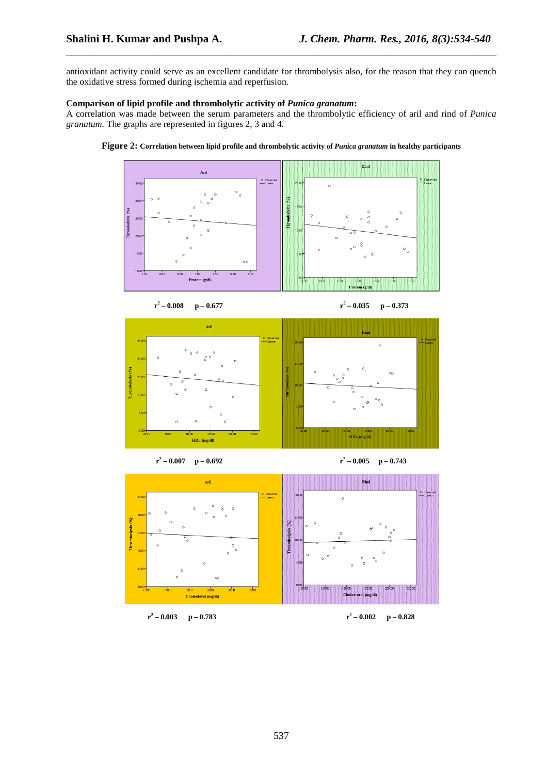antioxidant activity could serve as an excellent candidate for thrombolysis also, for the reason that they can quench the oxidative stress formed during ischemia and reperfusion.

\_\_\_\_\_\_\_\_\_\_\_\_\_\_\_\_\_\_\_\_\_\_\_\_\_\_\_\_\_\_\_\_\_\_\_\_\_\_\_\_\_\_\_\_\_\_\_\_\_\_\_\_\_\_\_\_\_\_\_\_\_\_\_\_\_\_\_\_\_\_\_\_\_\_\_\_\_\_

### **Comparison of lipid profile and thrombolytic activity of** *Punica granatum***:**

A correlation was made between the serum parameters and the thrombolytic efficiency of aril and rind of *Punica granatum*. The graphs are represented in figures 2, 3 and 4.









 $r^2$  **p** – 0.692 **r**<sup>2</sup> – 0.005

**p** – 0.743



 $r^2$  **p** – 0.783 **r**<sup>2</sup> – 0.002

 **– 0.002 p – 0.828**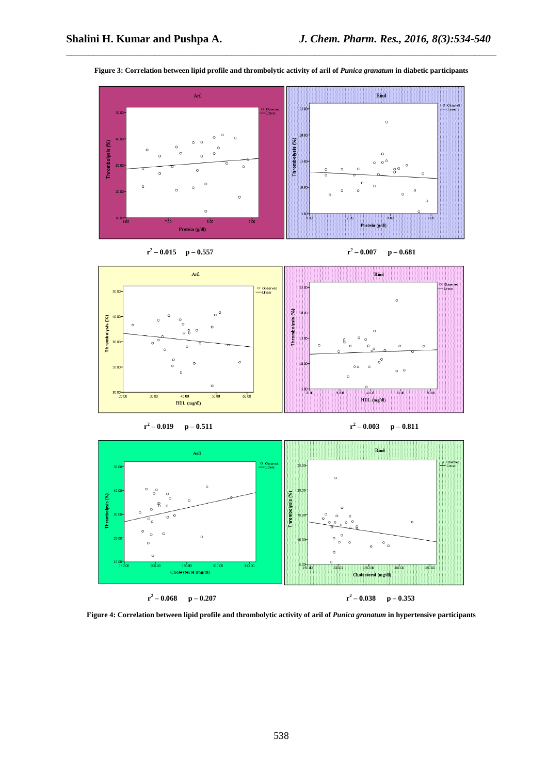



\_\_\_\_\_\_\_\_\_\_\_\_\_\_\_\_\_\_\_\_\_\_\_\_\_\_\_\_\_\_\_\_\_\_\_\_\_\_\_\_\_\_\_\_\_\_\_\_\_\_\_\_\_\_\_\_\_\_\_\_\_\_\_\_\_\_\_\_\_\_\_\_\_\_\_\_\_\_



 $r^2 - 0.007$  p – 0.681





 **– 0.003 p – 0.811** 



Figure 4: Correlation between lipid profile and thrombolytic activity of aril of *Punica granatum* in hypertensive participants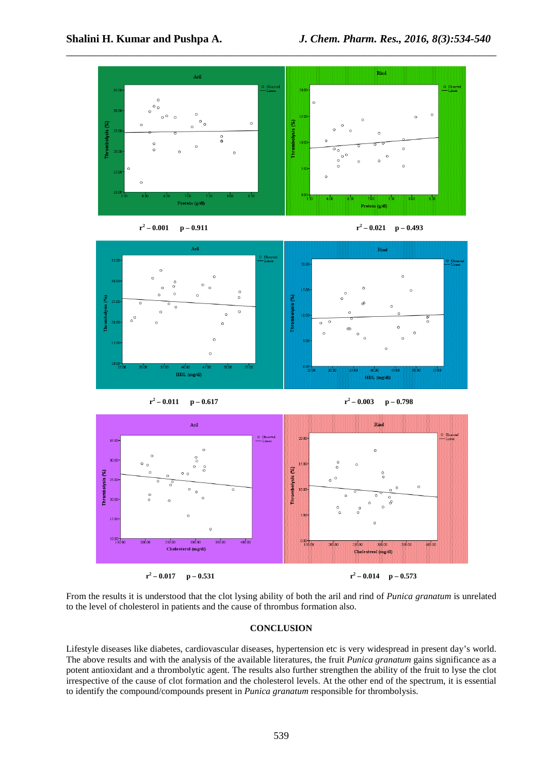





 $r^2$ 





From the results it is understood that the clot lysing ability of both the aril and rind of *Punica granatum* is unrelated to the level of cholesterol in patients and the cause of thrombus formation also.

## **CONCLUSION**

Lifestyle diseases like diabetes, cardiovascular diseases, hypertension etc is very widespread in present day's world. The above results and with the analysis of the available literatures, the fruit *Punica granatum* gains significance as a potent antioxidant and a thrombolytic agent. The results also further strengthen the ability of the fruit to lyse the clot irrespective of the cause of clot formation and the cholesterol levels. At the other end of the spectrum, it is essential to identify the compound/compounds present in *Punica granatum* responsible for thrombolysis.